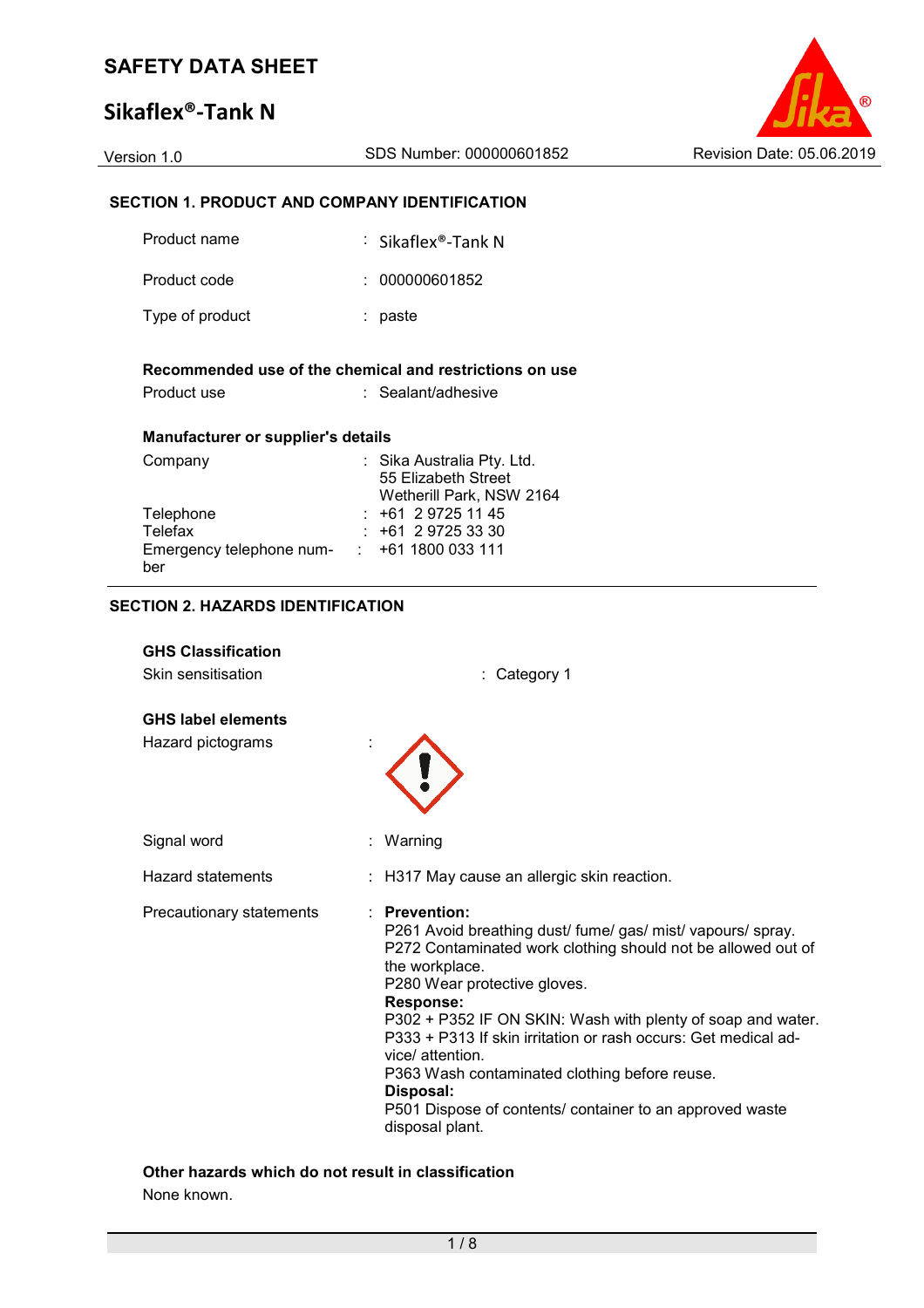### **Sikaflex®-Tank N**



### **SECTION 1. PRODUCT AND COMPANY IDENTIFICATION**

| Product name                                                         | ∶ Sikaflex®-Tank N                                                            |
|----------------------------------------------------------------------|-------------------------------------------------------------------------------|
| Product code                                                         | : 000000601852                                                                |
| Type of product                                                      | : paste                                                                       |
|                                                                      | Recommended use of the chemical and restrictions on use                       |
| Product use                                                          | : Sealant/adhesive                                                            |
| <b>Manufacturer or supplier's details</b>                            |                                                                               |
| Company                                                              | : Sika Australia Pty. Ltd.<br>55 Elizabeth Street<br>Wetherill Park, NSW 2164 |
| Telephone                                                            | : +61 2 9725 11 45                                                            |
| <b>Telefax</b><br>Emergency telephone num- : +61 1800 033 111<br>ber | $: +61297253330$                                                              |

#### **SECTION 2. HAZARDS IDENTIFICATION**

| <b>GHS Classification</b><br>Skin sensitisation | : Category 1                                                                                                                                                                                                                                                                                                                                                                                                                                                                                                 |
|-------------------------------------------------|--------------------------------------------------------------------------------------------------------------------------------------------------------------------------------------------------------------------------------------------------------------------------------------------------------------------------------------------------------------------------------------------------------------------------------------------------------------------------------------------------------------|
| <b>GHS label elements</b>                       |                                                                                                                                                                                                                                                                                                                                                                                                                                                                                                              |
| Hazard pictograms                               |                                                                                                                                                                                                                                                                                                                                                                                                                                                                                                              |
| Signal word                                     | : Warning                                                                                                                                                                                                                                                                                                                                                                                                                                                                                                    |
| <b>Hazard statements</b>                        | : H317 May cause an allergic skin reaction.                                                                                                                                                                                                                                                                                                                                                                                                                                                                  |
| Precautionary statements                        | : Prevention:<br>P261 Avoid breathing dust/ fume/gas/ mist/ vapours/ spray.<br>P272 Contaminated work clothing should not be allowed out of<br>the workplace.<br>P280 Wear protective gloves.<br>Response:<br>P302 + P352 IF ON SKIN: Wash with plenty of soap and water.<br>P333 + P313 If skin irritation or rash occurs: Get medical ad-<br>vice/ attention.<br>P363 Wash contaminated clothing before reuse.<br>Disposal:<br>P501 Dispose of contents/ container to an approved waste<br>disposal plant. |

# **Other hazards which do not result in classification**

None known.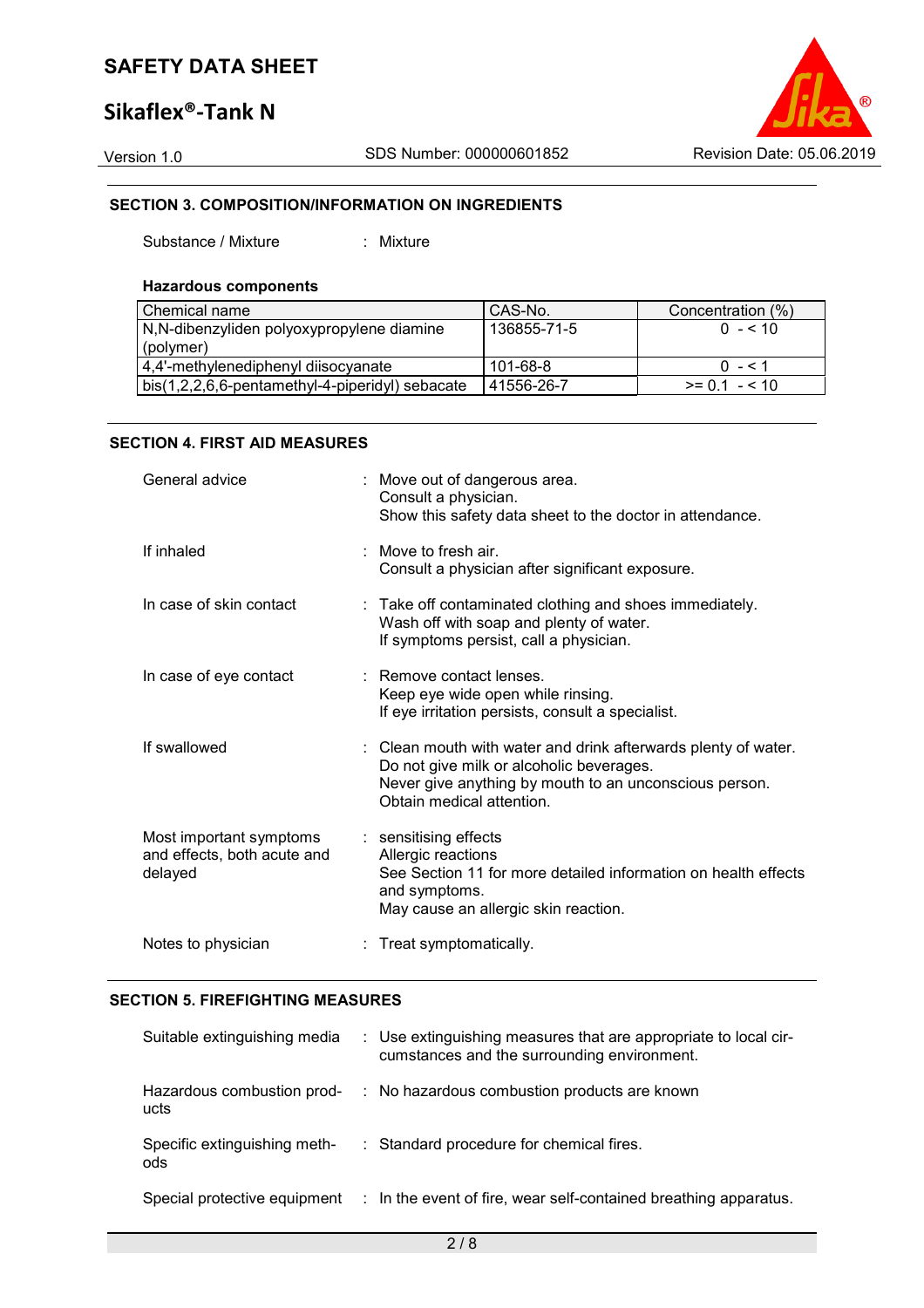### **Sikaflex®-Tank N**

Version 1.0 SDS Number: 000000601852 Revision Date: 05.06.2019

### **SECTION 3. COMPOSITION/INFORMATION ON INGREDIENTS**

Substance / Mixture : Mixture

#### **Hazardous components**

| l Chemical name                                 | CAS-No.     | Concentration (%) |
|-------------------------------------------------|-------------|-------------------|
| N,N-dibenzyliden polyoxypropylene diamine       | 136855-71-5 | $0 - 510$         |
| (polymer)                                       |             |                   |
| 4,4'-methylenediphenyl diisocyanate             | 101-68-8    | $0 - 51$          |
| bis(1,2,2,6,6-pentamethyl-4-piperidyl) sebacate | 41556-26-7  | $>= 0.1 - 5.10$   |

### **SECTION 4. FIRST AID MEASURES**

| General advice                                                    | : Move out of dangerous area.<br>Consult a physician.<br>Show this safety data sheet to the doctor in attendance.                                                                                 |
|-------------------------------------------------------------------|---------------------------------------------------------------------------------------------------------------------------------------------------------------------------------------------------|
| If inhaled                                                        | : Move to fresh air.<br>Consult a physician after significant exposure.                                                                                                                           |
| In case of skin contact                                           | : Take off contaminated clothing and shoes immediately.<br>Wash off with soap and plenty of water.<br>If symptoms persist, call a physician.                                                      |
| In case of eye contact                                            | : Remove contact lenses.<br>Keep eye wide open while rinsing.<br>If eye irritation persists, consult a specialist.                                                                                |
| If swallowed                                                      | : Clean mouth with water and drink afterwards plenty of water.<br>Do not give milk or alcoholic beverages.<br>Never give anything by mouth to an unconscious person.<br>Obtain medical attention. |
| Most important symptoms<br>and effects, both acute and<br>delayed | : sensitising effects<br>Allergic reactions<br>See Section 11 for more detailed information on health effects<br>and symptoms.<br>May cause an allergic skin reaction.                            |
| Notes to physician                                                | : Treat symptomatically.                                                                                                                                                                          |

### **SECTION 5. FIREFIGHTING MEASURES**

| Suitable extinguishing media         | : Use extinguishing measures that are appropriate to local cir-<br>cumstances and the surrounding environment. |
|--------------------------------------|----------------------------------------------------------------------------------------------------------------|
| Hazardous combustion prod-<br>ucts   | : No hazardous combustion products are known                                                                   |
| Specific extinguishing meth-<br>ods. | : Standard procedure for chemical fires.                                                                       |
| Special protective equipment         | : In the event of fire, wear self-contained breathing apparatus.                                               |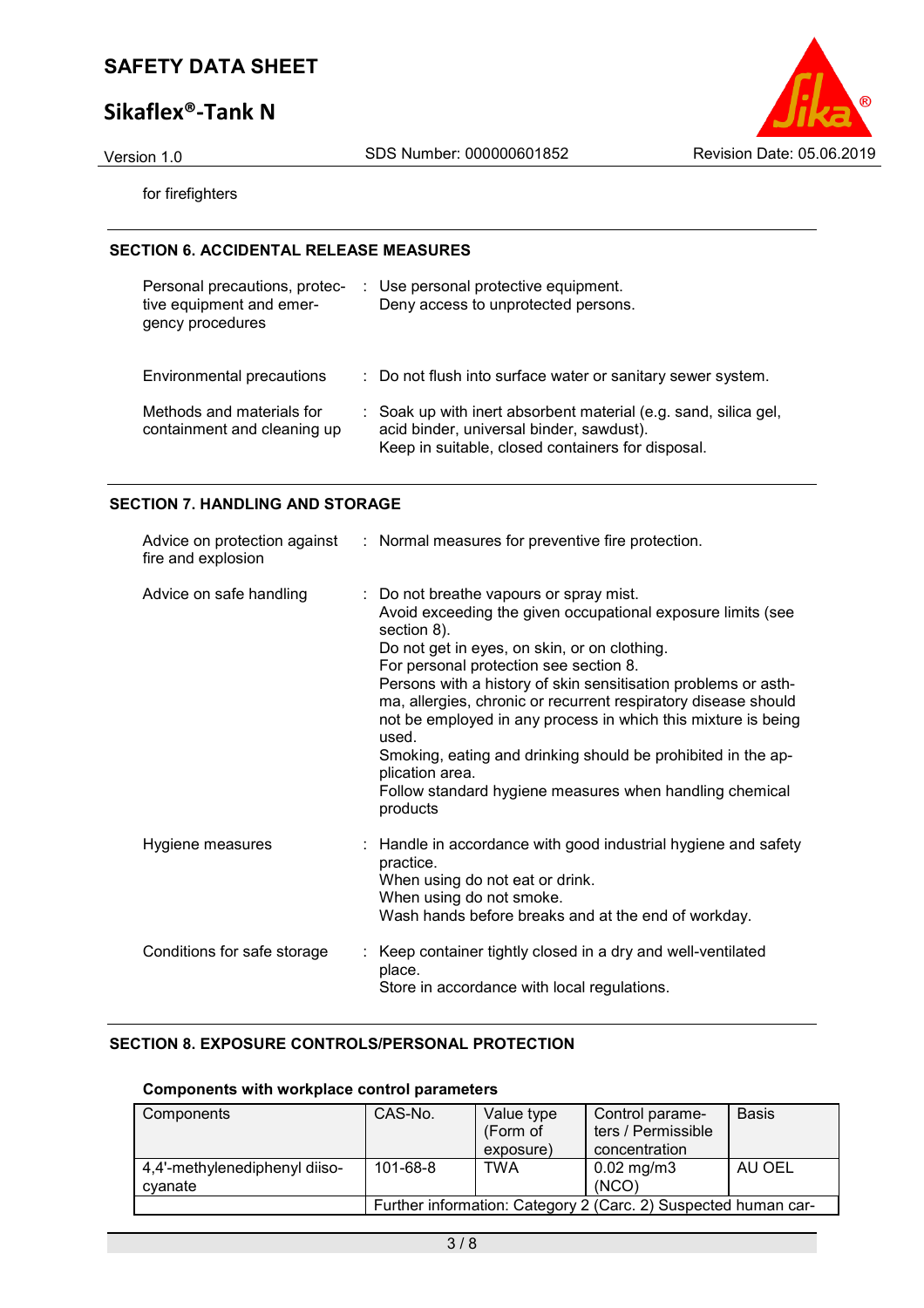### **Sikaflex®-Tank N**

Version 1.0 SDS Number: 000000601852 Revision Date: 05.06.2019

for firefighters

### **SECTION 6. ACCIDENTAL RELEASE MEASURES**

| Personal precautions, protec-<br>tive equipment and emer-<br>gency procedures | Use personal protective equipment.<br>Deny access to unprotected persons.                                                                                        |
|-------------------------------------------------------------------------------|------------------------------------------------------------------------------------------------------------------------------------------------------------------|
| Environmental precautions                                                     | : Do not flush into surface water or sanitary sewer system.                                                                                                      |
| Methods and materials for<br>containment and cleaning up                      | : Soak up with inert absorbent material (e.g. sand, silica gel,<br>acid binder, universal binder, sawdust).<br>Keep in suitable, closed containers for disposal. |

### **SECTION 7. HANDLING AND STORAGE**

| fire and explosion          | Advice on protection against : Normal measures for preventive fire protection.                                                                                                                                                                                                                                                                                                                                                                                                                                                                                                          |
|-----------------------------|-----------------------------------------------------------------------------------------------------------------------------------------------------------------------------------------------------------------------------------------------------------------------------------------------------------------------------------------------------------------------------------------------------------------------------------------------------------------------------------------------------------------------------------------------------------------------------------------|
| Advice on safe handling     | : Do not breathe vapours or spray mist.<br>Avoid exceeding the given occupational exposure limits (see<br>section 8).<br>Do not get in eyes, on skin, or on clothing.<br>For personal protection see section 8.<br>Persons with a history of skin sensitisation problems or asth-<br>ma, allergies, chronic or recurrent respiratory disease should<br>not be employed in any process in which this mixture is being<br>used.<br>Smoking, eating and drinking should be prohibited in the ap-<br>plication area.<br>Follow standard hygiene measures when handling chemical<br>products |
| Hygiene measures            | : Handle in accordance with good industrial hygiene and safety<br>practice.<br>When using do not eat or drink.<br>When using do not smoke.<br>Wash hands before breaks and at the end of workday.                                                                                                                                                                                                                                                                                                                                                                                       |
| Conditions for safe storage | : Keep container tightly closed in a dry and well-ventilated<br>place.<br>Store in accordance with local regulations.                                                                                                                                                                                                                                                                                                                                                                                                                                                                   |

### **SECTION 8. EXPOSURE CONTROLS/PERSONAL PROTECTION**

### **Components with workplace control parameters**

| Components                               | CAS-No.        | Value type<br>(Form of<br>exposure) | Control parame-<br>ters / Permissible<br>concentration         | <b>Basis</b> |
|------------------------------------------|----------------|-------------------------------------|----------------------------------------------------------------|--------------|
| 4,4'-methylenediphenyl diiso-<br>cvanate | $101 - 68 - 8$ | TWA                                 | $0.02 \,\mathrm{mg/m3}$<br>(NCO)                               | AU OEL       |
|                                          |                |                                     | Further information: Category 2 (Carc. 2) Suspected human car- |              |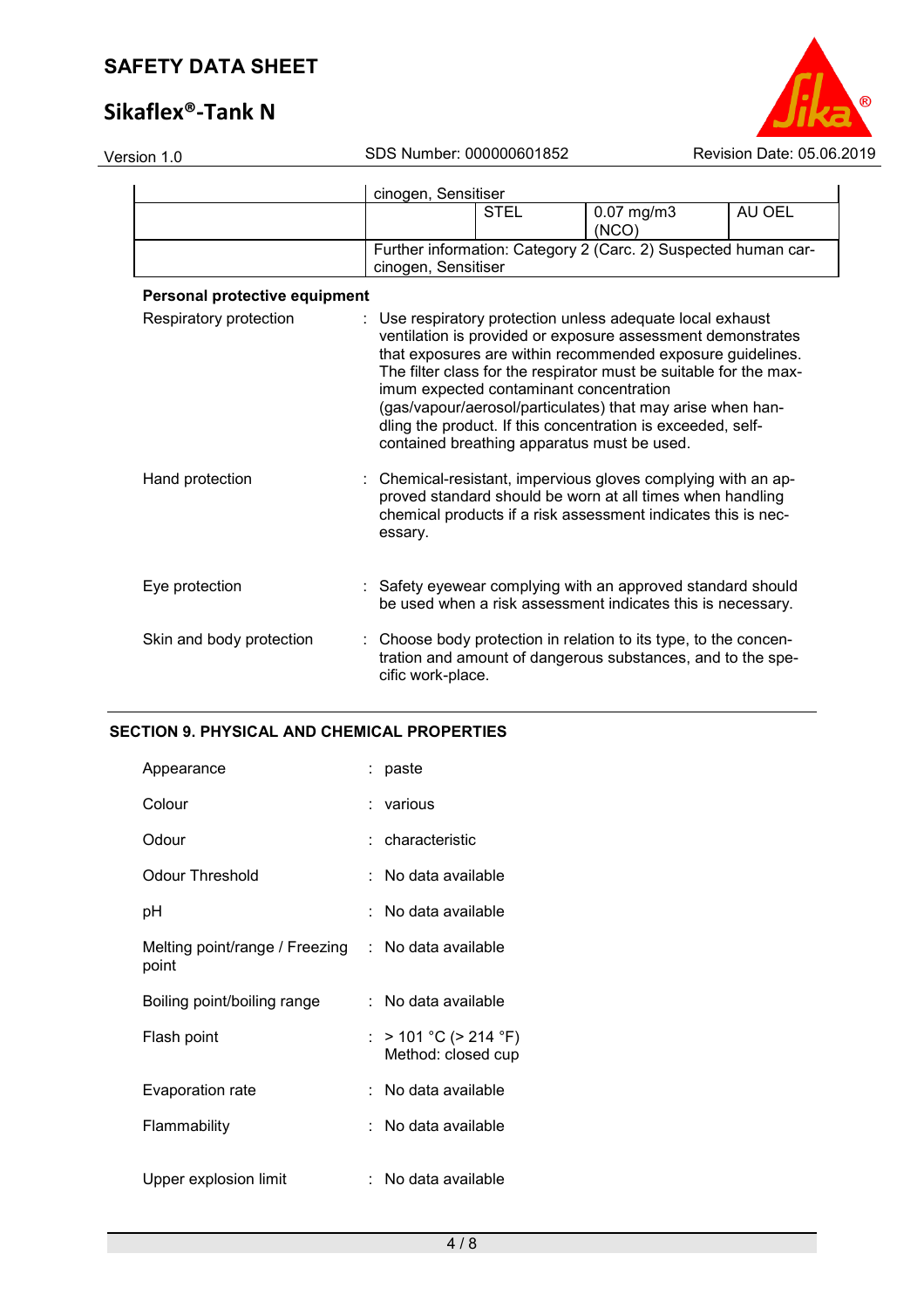# **Sikaflex®-Tank N**



| Version 1.0                   |         | SDS Number: 000000601852                                                               |                                                                                                                                                                                                                                                                                                                                                                                           | Revision Date: 05.06.2019 |
|-------------------------------|---------|----------------------------------------------------------------------------------------|-------------------------------------------------------------------------------------------------------------------------------------------------------------------------------------------------------------------------------------------------------------------------------------------------------------------------------------------------------------------------------------------|---------------------------|
|                               |         | cinogen, Sensitiser                                                                    |                                                                                                                                                                                                                                                                                                                                                                                           |                           |
|                               |         | <b>STEL</b>                                                                            | $0.07$ mg/m $3$<br>(NCO)                                                                                                                                                                                                                                                                                                                                                                  | AU OEL                    |
|                               |         | cinogen, Sensitiser                                                                    | Further information: Category 2 (Carc. 2) Suspected human car-                                                                                                                                                                                                                                                                                                                            |                           |
| Personal protective equipment |         |                                                                                        |                                                                                                                                                                                                                                                                                                                                                                                           |                           |
| Respiratory protection        |         | imum expected contaminant concentration<br>contained breathing apparatus must be used. | : Use respiratory protection unless adequate local exhaust<br>ventilation is provided or exposure assessment demonstrates<br>that exposures are within recommended exposure guidelines.<br>The filter class for the respirator must be suitable for the max-<br>(gas/vapour/aerosol/particulates) that may arise when han-<br>dling the product. If this concentration is exceeded, self- |                           |
| Hand protection               | essary. |                                                                                        | Chemical-resistant, impervious gloves complying with an ap-<br>proved standard should be worn at all times when handling<br>chemical products if a risk assessment indicates this is nec-                                                                                                                                                                                                 |                           |
| Eye protection                |         |                                                                                        | : Safety eyewear complying with an approved standard should<br>be used when a risk assessment indicates this is necessary.                                                                                                                                                                                                                                                                |                           |
| Skin and body protection      |         | cific work-place.                                                                      | Choose body protection in relation to its type, to the concen-<br>tration and amount of dangerous substances, and to the spe-                                                                                                                                                                                                                                                             |                           |
|                               |         |                                                                                        |                                                                                                                                                                                                                                                                                                                                                                                           |                           |

### **SECTION 9. PHYSICAL AND CHEMICAL PROPERTIES**

| Appearance                              | : paste                                     |
|-----------------------------------------|---------------------------------------------|
| Colour                                  | ∶ various                                   |
| Odour                                   | : characteristic                            |
| Odour Threshold                         | : No data available                         |
| рH                                      | No data available                           |
| Melting point/range / Freezing<br>point | $:$ No data available                       |
| Boiling point/boiling range             | : No data available                         |
| Flash point                             | : > 101 °C (> 214 °F)<br>Method: closed cup |
| Evaporation rate                        | : No data available                         |
| Flammability                            | : No data available                         |
| Upper explosion limit                   | No data available                           |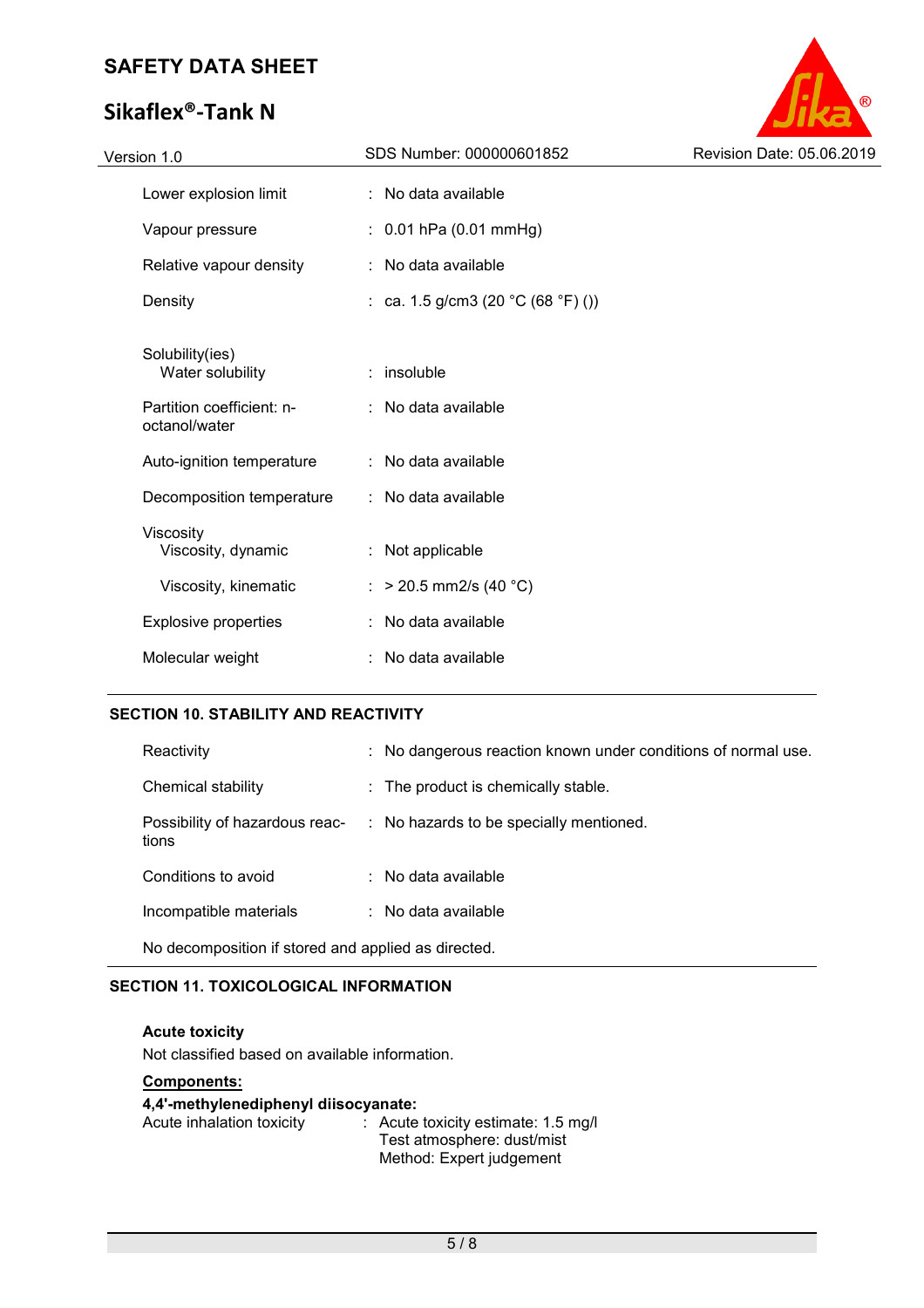# **Sikaflex®-Tank N**



### **SECTION 10. STABILITY AND REACTIVITY**

| Reactivity                                          |  | : No dangerous reaction known under conditions of normal use. |
|-----------------------------------------------------|--|---------------------------------------------------------------|
| Chemical stability                                  |  | : The product is chemically stable.                           |
| Possibility of hazardous reac-<br>tions             |  | : No hazards to be specially mentioned.                       |
| Conditions to avoid                                 |  | $\therefore$ No data available                                |
| Incompatible materials                              |  | $\therefore$ No data available                                |
| No decomposition if stored and applied as directed. |  |                                                               |

### **SECTION 11. TOXICOLOGICAL INFORMATION**

**Acute toxicity**  Not classified based on available information.

### **Components:**

### **4,4'-methylenediphenyl diisocyanate:**

| Acute inhalation toxicity | $\therefore$ Acute toxicity estimate: 1.5 mg/l |
|---------------------------|------------------------------------------------|
|                           | Test atmosphere: dust/mist                     |
|                           | Method: Expert judgement                       |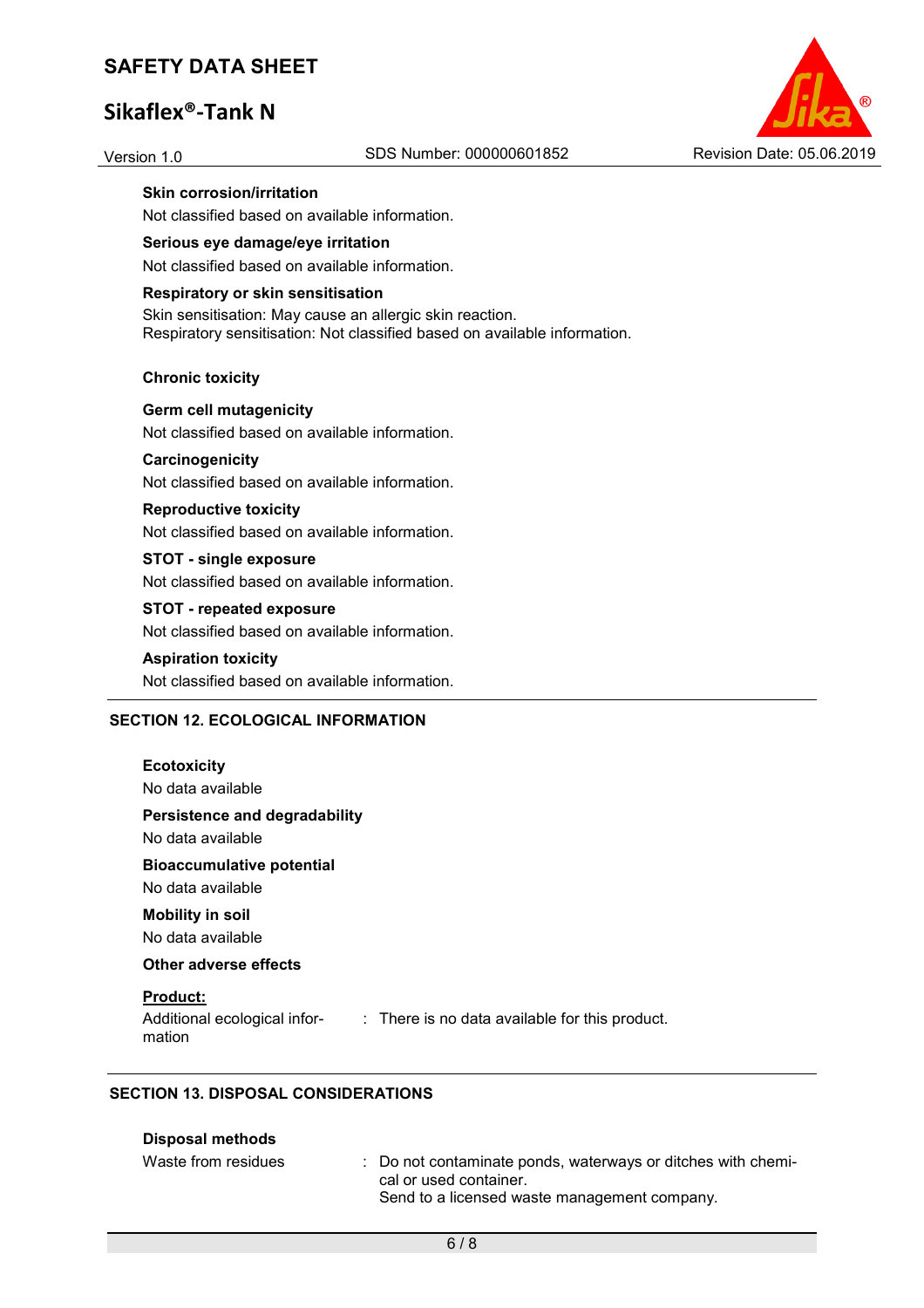### **Sikaflex®-Tank N**



**Skin corrosion/irritation** 

Not classified based on available information.

### **Serious eye damage/eye irritation**

Not classified based on available information.

#### **Respiratory or skin sensitisation**

Skin sensitisation: May cause an allergic skin reaction. Respiratory sensitisation: Not classified based on available information.

#### **Chronic toxicity**

**Germ cell mutagenicity**  Not classified based on available information.

### **Carcinogenicity**

Not classified based on available information.

#### **Reproductive toxicity**

Not classified based on available information.

#### **STOT - single exposure**

Not classified based on available information.

#### **STOT - repeated exposure**

Not classified based on available information.

#### **Aspiration toxicity**

Not classified based on available information.

#### **SECTION 12. ECOLOGICAL INFORMATION**

| Persistence and degradability<br>No data available<br><b>Bioaccumulative potential</b><br>No data available<br><b>Mobility in soil</b><br>No data available<br>Other adverse effects<br><b>Product:</b><br>Additional ecological infor-<br>mation | <b>Ecotoxicity</b><br>No data available |
|---------------------------------------------------------------------------------------------------------------------------------------------------------------------------------------------------------------------------------------------------|-----------------------------------------|
|                                                                                                                                                                                                                                                   |                                         |
|                                                                                                                                                                                                                                                   |                                         |
|                                                                                                                                                                                                                                                   |                                         |
|                                                                                                                                                                                                                                                   |                                         |
|                                                                                                                                                                                                                                                   | $:$ There is no data available for      |

#### **SECTION 13. DISPOSAL CONSIDERATIONS**

#### **Disposal methods**

| Waste from residues | : Do not contaminate ponds, waterways or ditches with chemi- |
|---------------------|--------------------------------------------------------------|
|                     | cal or used container.                                       |
|                     | Send to a licensed waste management company.                 |

this product.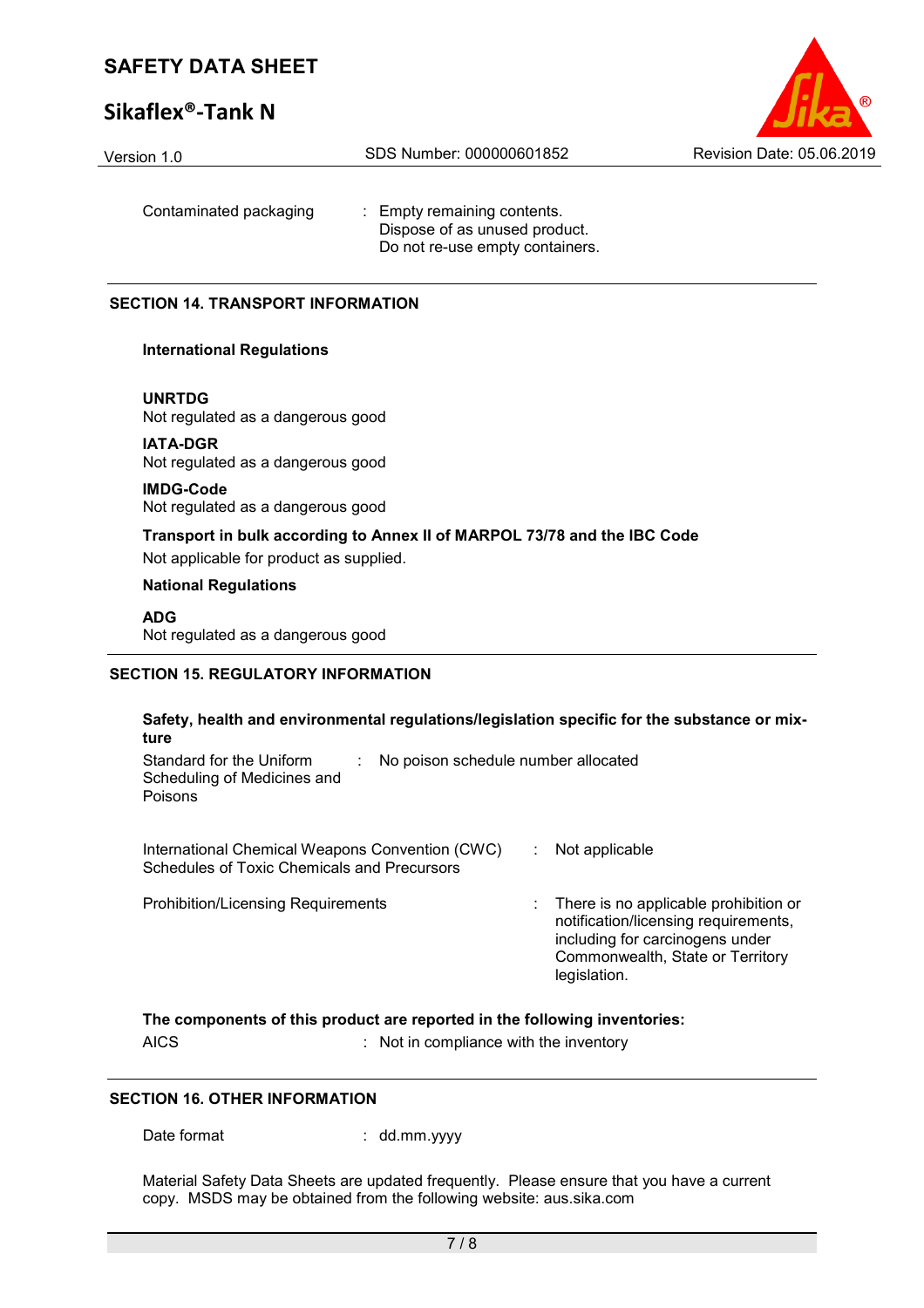### **Sikaflex®-Tank N**



Contaminated packaging : Empty remaining contents. Dispose of as unused product. Do not re-use empty containers.

#### **SECTION 14. TRANSPORT INFORMATION**

#### **International Regulations**

**UNRTDG**

Not regulated as a dangerous good

**IATA-DGR** Not regulated as a dangerous good

**IMDG-Code**

Not regulated as a dangerous good

# **Transport in bulk according to Annex II of MARPOL 73/78 and the IBC Code**

Not applicable for product as supplied.

### **National Regulations**

**ADG** Not regulated as a dangerous good

### **SECTION 15. REGULATORY INFORMATION**

| Safety, health and environmental regulations/legislation specific for the substance or mix-<br>ture       |  |                                                                                                                                                                      |  |  |
|-----------------------------------------------------------------------------------------------------------|--|----------------------------------------------------------------------------------------------------------------------------------------------------------------------|--|--|
| Standard for the Uniform<br>No poison schedule number allocated<br>Scheduling of Medicines and<br>Poisons |  |                                                                                                                                                                      |  |  |
| International Chemical Weapons Convention (CWC)<br>Schedules of Toxic Chemicals and Precursors            |  | Not applicable                                                                                                                                                       |  |  |
| <b>Prohibition/Licensing Requirements</b>                                                                 |  | There is no applicable prohibition or<br>notification/licensing requirements,<br>including for carcinogens under<br>Commonwealth, State or Territory<br>legislation. |  |  |
| The components of this product are reported in the following inventories:                                 |  |                                                                                                                                                                      |  |  |

**The components of this product are reported in the following inventories:** 

AICS : Not in compliance with the inventory

#### **SECTION 16. OTHER INFORMATION**

Date format : dd.mm.yyyy

Material Safety Data Sheets are updated frequently. Please ensure that you have a current copy. MSDS may be obtained from the following website: aus.sika.com